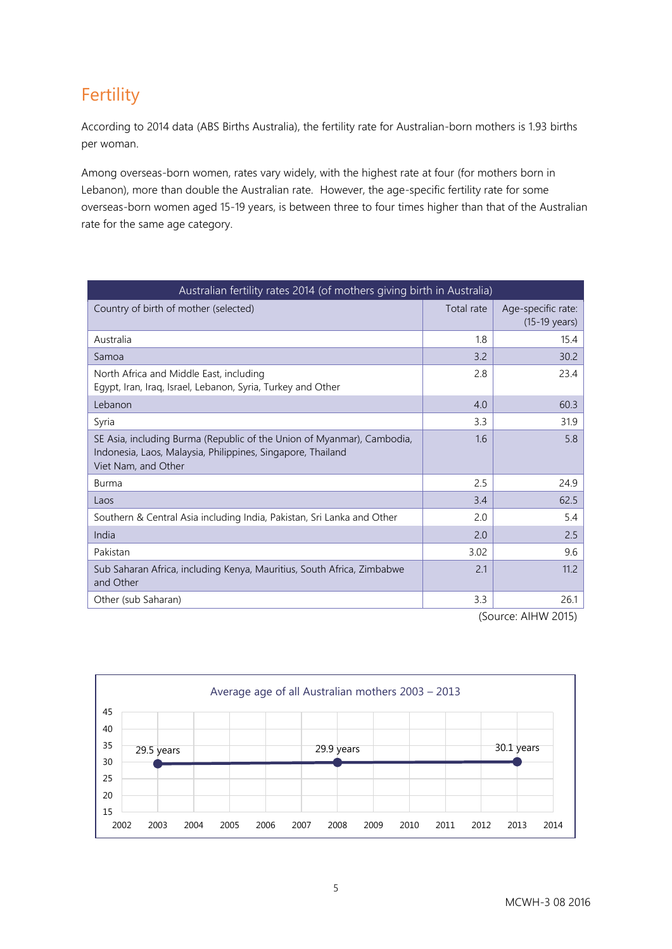# **Fertility**

According to 2014 data (ABS Births Australia), the fertility rate for Australian-born mothers is 1.93 births per woman.

Among overseas-born women, rates vary widely, with the highest rate at four (for mothers born in Lebanon), more than double the Australian rate. However, the age-specific fertility rate for some overseas-born women aged 15-19 years, is between three to four times higher than that of the Australian rate for the same age category.

| Australian fertility rates 2014 (of mothers giving birth in Australia)                                                                                       |            |                                               |
|--------------------------------------------------------------------------------------------------------------------------------------------------------------|------------|-----------------------------------------------|
| Country of birth of mother (selected)                                                                                                                        | Total rate | Age-specific rate:<br>$(15-19 \text{ years})$ |
| Australia                                                                                                                                                    | 1.8        | 15.4                                          |
| Samoa                                                                                                                                                        | 3.2        | 30.2                                          |
| North Africa and Middle East, including<br>Egypt, Iran, Iraq, Israel, Lebanon, Syria, Turkey and Other                                                       | 2.8        | 23.4                                          |
| Lebanon                                                                                                                                                      | 4.0        | 60.3                                          |
| Syria                                                                                                                                                        | 3.3        | 31.9                                          |
| SE Asia, including Burma (Republic of the Union of Myanmar), Cambodia,<br>Indonesia, Laos, Malaysia, Philippines, Singapore, Thailand<br>Viet Nam, and Other | 1.6        | 5.8                                           |
| Burma                                                                                                                                                        | 2.5        | 24.9                                          |
| Laos                                                                                                                                                         | 3.4        | 62.5                                          |
| Southern & Central Asia including India, Pakistan, Sri Lanka and Other                                                                                       | 2.0        | 5.4                                           |
| India                                                                                                                                                        | 2.0        | 2.5                                           |
| Pakistan                                                                                                                                                     | 3.02       | 9.6                                           |
| Sub Saharan Africa, including Kenya, Mauritius, South Africa, Zimbabwe<br>and Other                                                                          | 2.1        | 11.2                                          |
| Other (sub Saharan)                                                                                                                                          | 3.3        | 26.1                                          |

(Source: AIHW 2015)

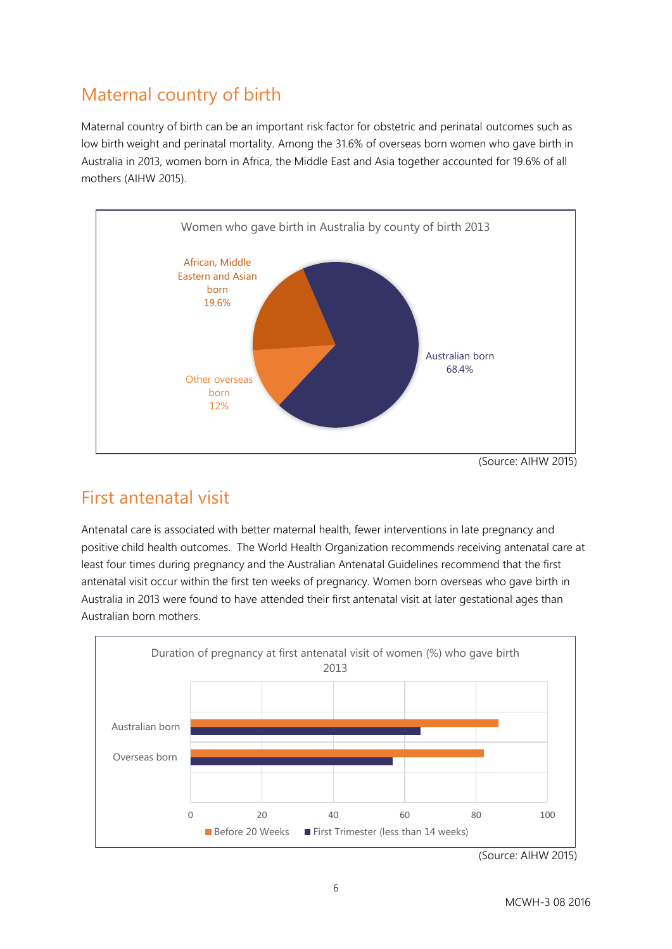# Maternal country of birth

Maternal country of birth can be an important risk factor for obstetric and perinatal outcomes such as low birth weight and perinatal mortality. Among the 31.6% of overseas born women who gave birth in Australia in 2013, women born in Africa, the Middle East and Asia together accounted for 19.6% of all mothers (AIHW 2015).



#### (Source: AIHW 2015)

### First antenatal visit

Antenatal care is associated with better maternal health, fewer interventions in late pregnancy and positive child health outcomes. The World Health Organization recommends receiving antenatal care at least four times during pregnancy and the Australian Antenatal Guidelines recommend that the first antenatal visit occur within the first ten weeks of pregnancy. Women born overseas who gave birth in Australia in 2013 were found to have attended their first antenatal visit at later gestational ages than Australian born mothers.



 <sup>(</sup>Source: AIHW 2015)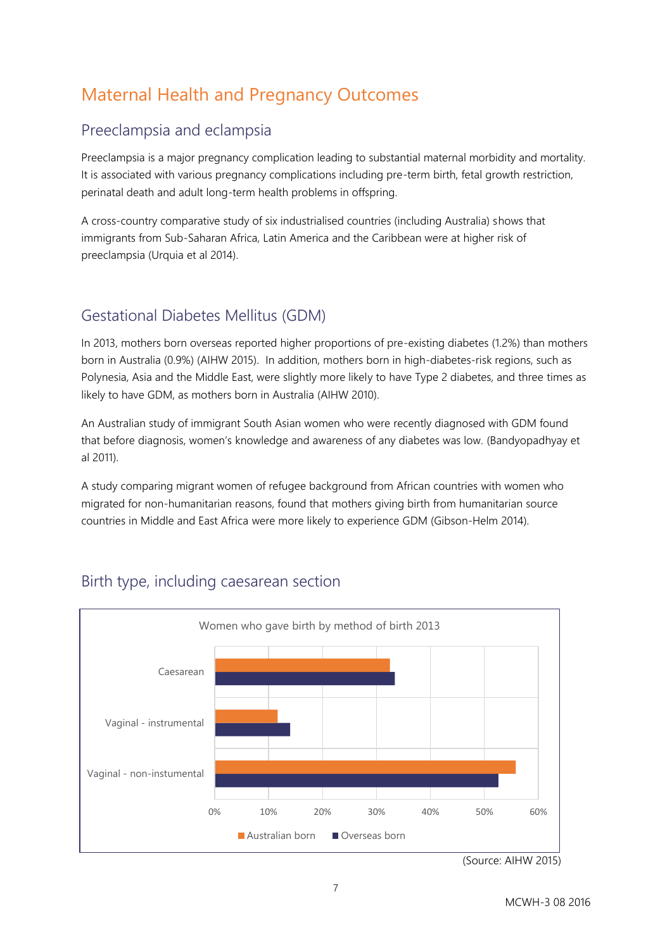# Maternal Health and Pregnancy Outcomes

#### Preeclampsia and eclampsia

Preeclampsia is a major pregnancy complication leading to substantial maternal morbidity and mortality. It is associated with various pregnancy complications including pre-term birth, fetal growth restriction, perinatal death and adult long-term health problems in offspring.

A cross-country comparative study of six industrialised countries (including Australia) shows that immigrants from Sub-Saharan Africa, Latin America and the Caribbean were at higher risk of preeclampsia (Urquia et al 2014).

### Gestational Diabetes Mellitus (GDM)

In 2013, mothers born overseas reported higher proportions of pre-existing diabetes (1.2%) than mothers born in Australia (0.9%) (AIHW 2015). In addition, mothers born in high-diabetes-risk regions, such as Polynesia, Asia and the Middle East, were slightly more likely to have Type 2 diabetes, and three times as likely to have GDM, as mothers born in Australia (AIHW 2010).

An Australian study of immigrant South Asian women who were recently diagnosed with GDM found that before diagnosis, women's knowledge and awareness of any diabetes was low. (Bandyopadhyay et al 2011).

A study comparing migrant women of refugee background from African countries with women who migrated for non-humanitarian reasons, found that mothers giving birth from humanitarian source countries in Middle and East Africa were more likely to experience GDM (Gibson-Helm 2014).



### Birth type, including caesarean section

<sup>(</sup>Source: AIHW 2015)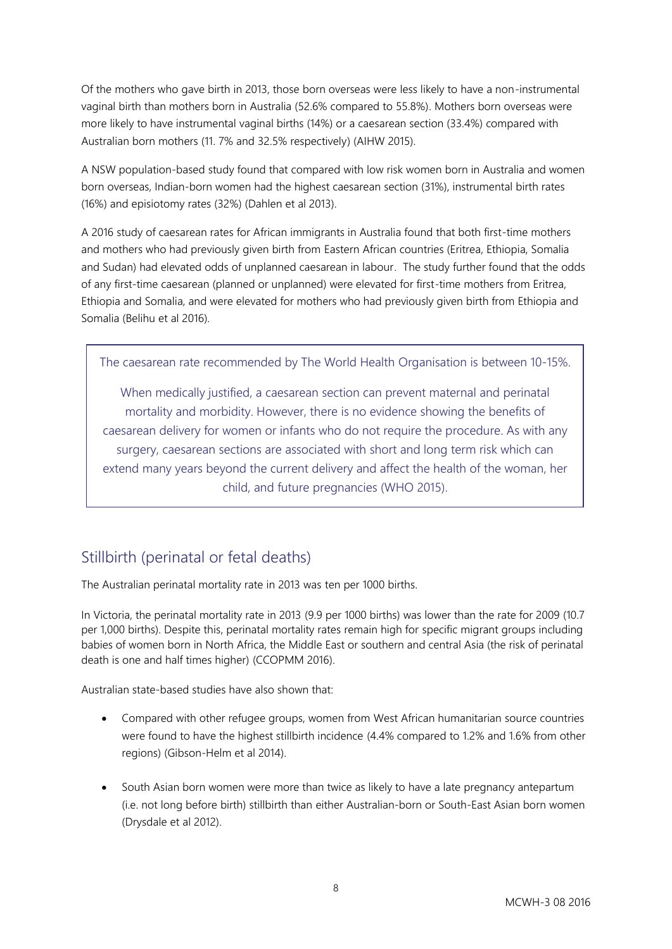Of the mothers who gave birth in 2013, those born overseas were less likely to have a non-instrumental vaginal birth than mothers born in Australia (52.6% compared to 55.8%). Mothers born overseas were more likely to have instrumental vaginal births (14%) or a caesarean section (33.4%) compared with Australian born mothers (11. 7% and 32.5% respectively) (AIHW 2015).

A NSW population-based study found that compared with low risk women born in Australia and women born overseas, Indian-born women had the highest caesarean section (31%), instrumental birth rates (16%) and episiotomy rates (32%) (Dahlen et al 2013).

A 2016 study of caesarean rates for African immigrants in Australia found that both first-time mothers and mothers who had previously given birth from Eastern African countries (Eritrea, Ethiopia, Somalia and Sudan) had elevated odds of unplanned caesarean in labour. The study further found that the odds of any first-time caesarean (planned or unplanned) were elevated for first-time mothers from Eritrea, Ethiopia and Somalia, and were elevated for mothers who had previously given birth from Ethiopia and Somalia (Belihu et al 2016).

The caesarean rate recommended by The World Health Organisation is between 10-15%.

When medically justified, a caesarean section can prevent maternal and perinatal mortality and morbidity. However, there is no evidence showing the benefits of caesarean delivery for women or infants who do not require the procedure. As with any surgery, caesarean sections are associated with short and long term risk which can extend many years beyond the current delivery and affect the health of the woman, her child, and future pregnancies (WHO 2015).

#### Stillbirth (perinatal or fetal deaths)

The Australian perinatal mortality rate in 2013 was ten per 1000 births.

In Victoria, the perinatal mortality rate in 2013 (9.9 per 1000 births) was lower than the rate for 2009 (10.7 per 1,000 births). Despite this, perinatal mortality rates remain high for specific migrant groups including babies of women born in North Africa, the Middle East or southern and central Asia (the risk of perinatal death is one and half times higher) (CCOPMM 2016).

Australian state-based studies have also shown that:

- Compared with other refugee groups, women from West African humanitarian source countries were found to have the highest stillbirth incidence (4.4% compared to 1.2% and 1.6% from other regions) (Gibson-Helm et al 2014).
- South Asian born women were more than twice as likely to have a late pregnancy antepartum (i.e. not long before birth) stillbirth than either Australian-born or South-East Asian born women (Drysdale et al 2012).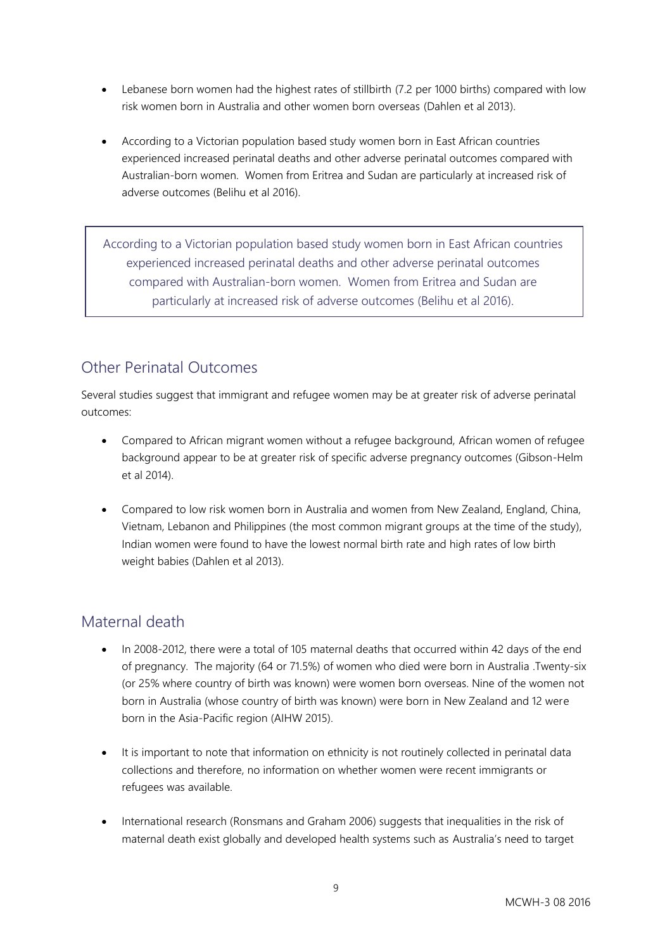- Lebanese born women had the highest rates of stillbirth (7.2 per 1000 births) compared with low risk women born in Australia and other women born overseas (Dahlen et al 2013).
- According to a Victorian population based study women born in East African countries experienced increased perinatal deaths and other adverse perinatal outcomes compared with Australian-born women. Women from Eritrea and Sudan are particularly at increased risk of adverse outcomes (Belihu et al 2016).

According to a Victorian population based study women born in East African countries experienced increased perinatal deaths and other adverse perinatal outcomes compared with Australian-born women. Women from Eritrea and Sudan are particularly at increased risk of adverse outcomes (Belihu et al 2016).

### Other Perinatal Outcomes

Several studies suggest that immigrant and refugee women may be at greater risk of adverse perinatal outcomes:

- Compared to African migrant women without a refugee background, African women of refugee background appear to be at greater risk of specific adverse pregnancy outcomes (Gibson-Helm et al 2014).
- Compared to low risk women born in Australia and women from New Zealand, England, China, Vietnam, Lebanon and Philippines (the most common migrant groups at the time of the study), Indian women were found to have the lowest normal birth rate and high rates of low birth weight babies (Dahlen et al 2013).

### Maternal death

- In 2008-2012, there were a total of 105 maternal deaths that occurred within 42 days of the end of pregnancy. The majority (64 or 71.5%) of women who died were born in Australia .Twenty-six (or 25% where country of birth was known) were women born overseas. Nine of the women not born in Australia (whose country of birth was known) were born in New Zealand and 12 were born in the Asia-Pacific region (AIHW 2015).
- It is important to note that information on ethnicity is not routinely collected in perinatal data collections and therefore, no information on whether women were recent immigrants or refugees was available.
- International research (Ronsmans and Graham 2006) suggests that inequalities in the risk of maternal death exist globally and developed health systems such as Australia's need to target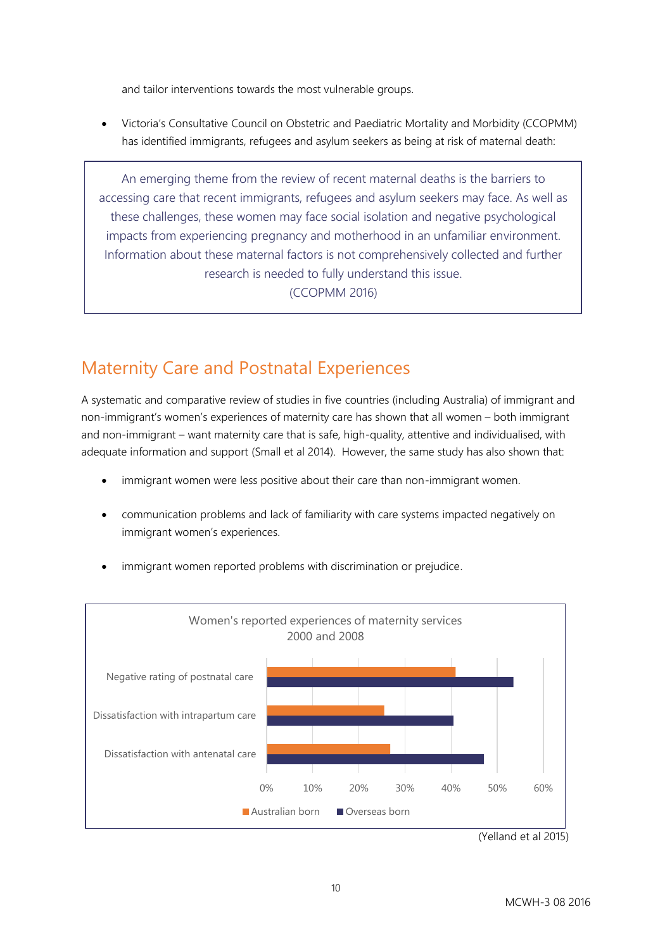and tailor interventions towards the most vulnerable groups.

 Victoria's Consultative Council on Obstetric and Paediatric Mortality and Morbidity (CCOPMM) has identified immigrants, refugees and asylum seekers as being at risk of maternal death:

An emerging theme from the review of recent maternal deaths is the barriers to accessing care that recent immigrants, refugees and asylum seekers may face. As well as these challenges, these women may face social isolation and negative psychological impacts from experiencing pregnancy and motherhood in an unfamiliar environment. Information about these maternal factors is not comprehensively collected and further research is needed to fully understand this issue. (CCOPMM 2016)

### Maternity Care and Postnatal Experiences

A systematic and comparative review of studies in five countries (including Australia) of immigrant and non-immigrant's women's experiences of maternity care has shown that all women – both immigrant and non-immigrant – want maternity care that is safe, high-quality, attentive and individualised, with adequate information and support (Small et al 2014). However, the same study has also shown that:

- immigrant women were less positive about their care than non-immigrant women.
- communication problems and lack of familiarity with care systems impacted negatively on immigrant women's experiences.



immigrant women reported problems with discrimination or prejudice.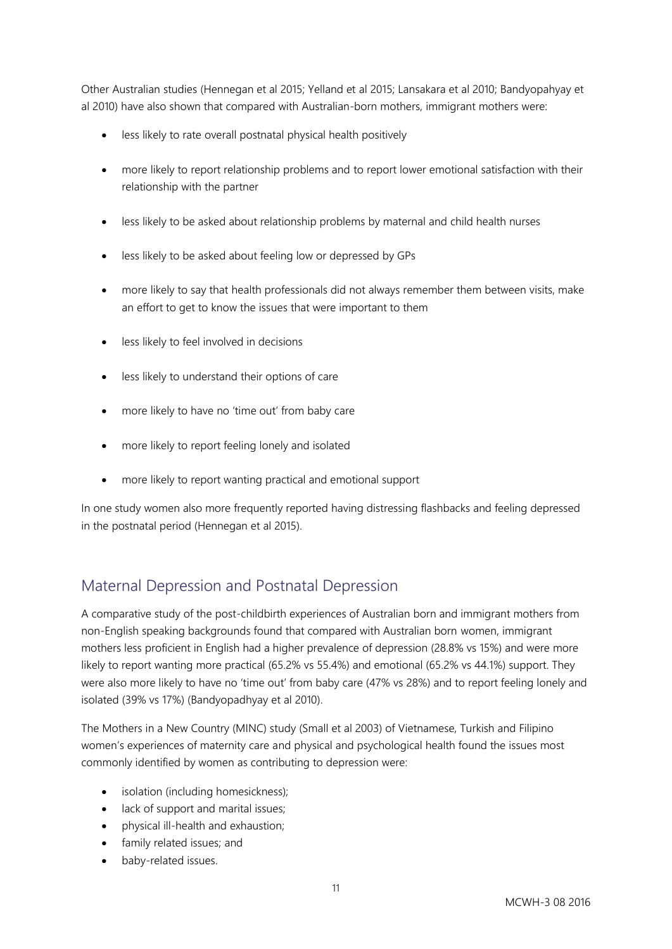Other Australian studies (Hennegan et al 2015; Yelland et al 2015; Lansakara et al 2010; Bandyopahyay et al 2010) have also shown that compared with Australian-born mothers, immigrant mothers were:

- less likely to rate overall postnatal physical health positively
- more likely to report relationship problems and to report lower emotional satisfaction with their relationship with the partner
- less likely to be asked about relationship problems by maternal and child health nurses
- less likely to be asked about feeling low or depressed by GPs
- more likely to say that health professionals did not always remember them between visits, make an effort to get to know the issues that were important to them
- less likely to feel involved in decisions
- less likely to understand their options of care
- more likely to have no 'time out' from baby care
- more likely to report feeling lonely and isolated
- more likely to report wanting practical and emotional support

In one study women also more frequently reported having distressing flashbacks and feeling depressed in the postnatal period (Hennegan et al 2015).

#### Maternal Depression and Postnatal Depression

A comparative study of the post-childbirth experiences of Australian born and immigrant mothers from non-English speaking backgrounds found that compared with Australian born women, immigrant mothers less proficient in English had a higher prevalence of depression (28.8% vs 15%) and were more likely to report wanting more practical (65.2% vs 55.4%) and emotional (65.2% vs 44.1%) support. They were also more likely to have no 'time out' from baby care (47% vs 28%) and to report feeling lonely and isolated (39% vs 17%) (Bandyopadhyay et al 2010).

The Mothers in a New Country (MINC) study (Small et al 2003) of Vietnamese, Turkish and Filipino women's experiences of maternity care and physical and psychological health found the issues most commonly identified by women as contributing to depression were:

- isolation (including homesickness);
- lack of support and marital issues:
- physical ill-health and exhaustion;
- family related issues; and
- baby-related issues.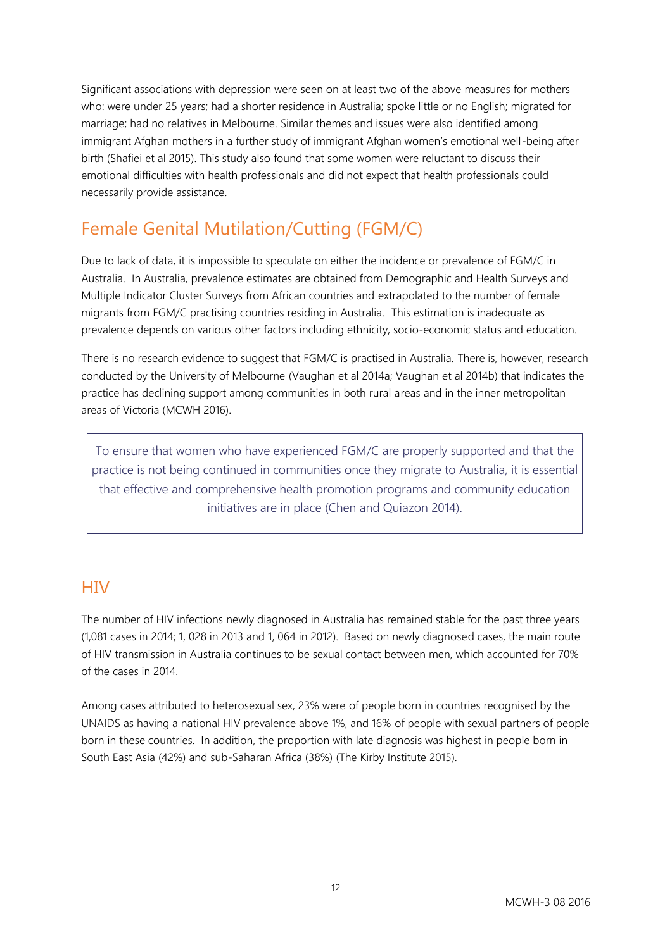Significant associations with depression were seen on at least two of the above measures for mothers who: were under 25 years; had a shorter residence in Australia; spoke little or no English; migrated for marriage; had no relatives in Melbourne. Similar themes and issues were also identified among immigrant Afghan mothers in a further study of immigrant Afghan women's emotional well-being after birth (Shafiei et al 2015). This study also found that some women were reluctant to discuss their emotional difficulties with health professionals and did not expect that health professionals could necessarily provide assistance.

# Female Genital Mutilation/Cutting (FGM/C)

Due to lack of data, it is impossible to speculate on either the incidence or prevalence of FGM/C in Australia. In Australia, prevalence estimates are obtained from Demographic and Health Surveys and Multiple Indicator Cluster Surveys from African countries and extrapolated to the number of female migrants from FGM/C practising countries residing in Australia. This estimation is inadequate as prevalence depends on various other factors including ethnicity, socio-economic status and education.

There is no research evidence to suggest that FGM/C is practised in Australia. There is, however, research conducted by the University of Melbourne (Vaughan et al 2014a; Vaughan et al 2014b) that indicates the practice has declining support among communities in both rural areas and in the inner metropolitan areas of Victoria (MCWH 2016).

To ensure that women who have experienced FGM/C are properly supported and that the practice is not being continued in communities once they migrate to Australia, it is essential that effective and comprehensive health promotion programs and community education initiatives are in place (Chen and Quiazon 2014).

### **HIV**

The number of HIV infections newly diagnosed in Australia has remained stable for the past three years (1,081 cases in 2014; 1, 028 in 2013 and 1, 064 in 2012). Based on newly diagnosed cases, the main route of HIV transmission in Australia continues to be sexual contact between men, which accounted for 70% of the cases in 2014.

Among cases attributed to heterosexual sex, 23% were of people born in countries recognised by the UNAIDS as having a national HIV prevalence above 1%, and 16% of people with sexual partners of people born in these countries. In addition, the proportion with late diagnosis was highest in people born in South East Asia (42%) and sub‑Saharan Africa (38%) (The Kirby Institute 2015).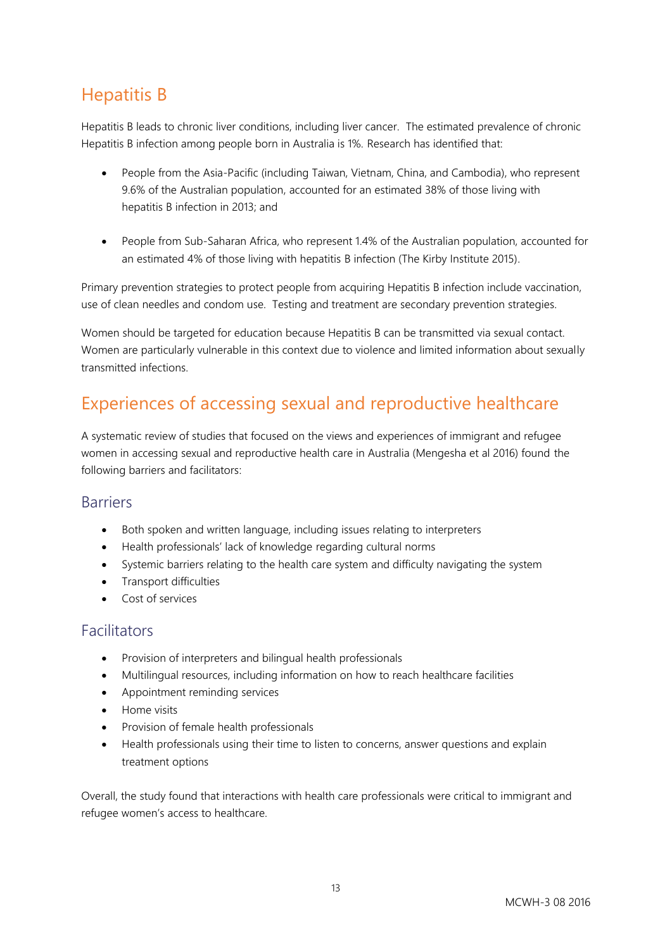### Hepatitis B

Hepatitis B leads to chronic liver conditions, including liver cancer. The estimated prevalence of chronic Hepatitis B infection among people born in Australia is 1%. Research has identified that:

- People from the Asia‑Pacific (including Taiwan, Vietnam, China, and Cambodia), who represent 9.6% of the Australian population, accounted for an estimated 38% of those living with hepatitis B infection in 2013; and
- People from Sub-Saharan Africa, who represent 1.4% of the Australian population, accounted for an estimated 4% of those living with hepatitis B infection (The Kirby Institute 2015).

Primary prevention strategies to protect people from acquiring Hepatitis B infection include vaccination, use of clean needles and condom use. Testing and treatment are secondary prevention strategies.

Women should be targeted for education because Hepatitis B can be transmitted via sexual contact. Women are particularly vulnerable in this context due to violence and limited information about sexually transmitted infections.

### Experiences of accessing sexual and reproductive healthcare

A systematic review of studies that focused on the views and experiences of immigrant and refugee women in accessing sexual and reproductive health care in Australia (Mengesha et al 2016) found the following barriers and facilitators:

#### Barriers

- Both spoken and written language, including issues relating to interpreters
- Health professionals' lack of knowledge regarding cultural norms
- Systemic barriers relating to the health care system and difficulty navigating the system
- Transport difficulties
- Cost of services

#### Facilitators

- Provision of interpreters and bilingual health professionals
- Multilingual resources, including information on how to reach healthcare facilities
- Appointment reminding services
- Home visits
- Provision of female health professionals
- Health professionals using their time to listen to concerns, answer questions and explain treatment options

Overall, the study found that interactions with health care professionals were critical to immigrant and refugee women's access to healthcare.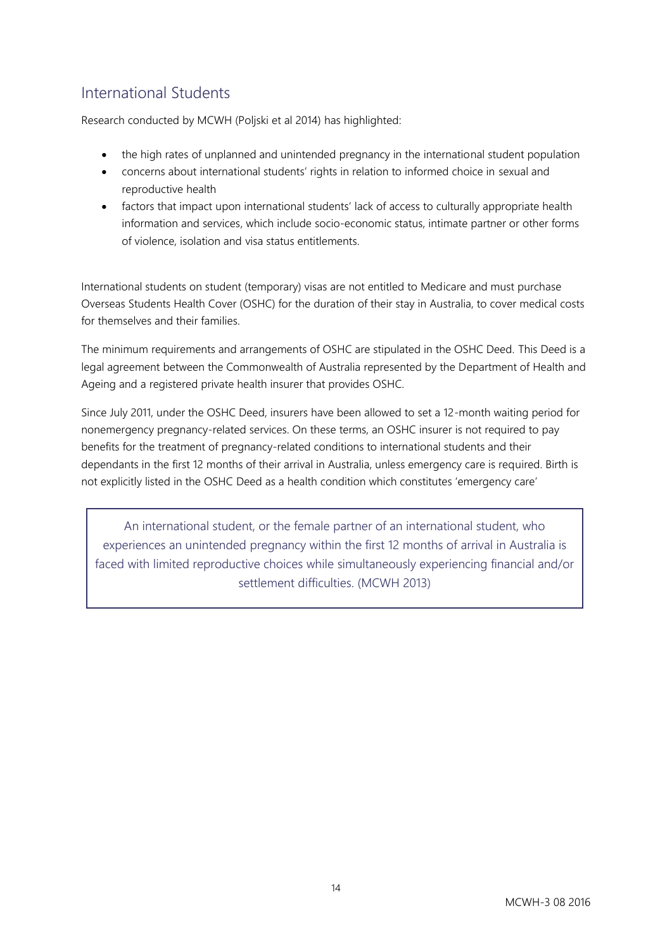### International Students

Research conducted by MCWH (Poljski et al 2014) has highlighted:

- the high rates of unplanned and unintended pregnancy in the international student population
- concerns about international students' rights in relation to informed choice in sexual and reproductive health
- factors that impact upon international students' lack of access to culturally appropriate health information and services, which include socio-economic status, intimate partner or other forms of violence, isolation and visa status entitlements.

International students on student (temporary) visas are not entitled to Medicare and must purchase Overseas Students Health Cover (OSHC) for the duration of their stay in Australia, to cover medical costs for themselves and their families.

The minimum requirements and arrangements of OSHC are stipulated in the OSHC Deed. This Deed is a legal agreement between the Commonwealth of Australia represented by the Department of Health and Ageing and a registered private health insurer that provides OSHC.

Since July 2011, under the OSHC Deed, insurers have been allowed to set a 12-month waiting period for nonemergency pregnancy-related services. On these terms, an OSHC insurer is not required to pay benefits for the treatment of pregnancy-related conditions to international students and their dependants in the first 12 months of their arrival in Australia, unless emergency care is required. Birth is not explicitly listed in the OSHC Deed as a health condition which constitutes 'emergency care'

An international student, or the female partner of an international student, who experiences an unintended pregnancy within the first 12 months of arrival in Australia is faced with limited reproductive choices while simultaneously experiencing financial and/or settlement difficulties. (MCWH 2013)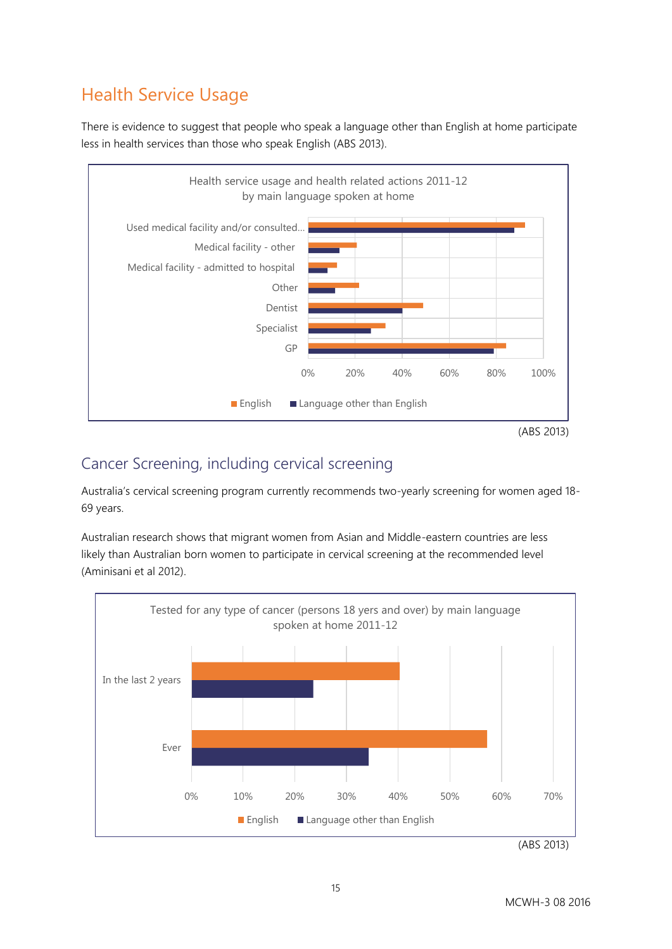# Health Service Usage

There is evidence to suggest that people who speak a language other than English at home participate less in health services than those who speak English (ABS 2013).



### Cancer Screening, including cervical screening

Australia's cervical screening program currently recommends two-yearly screening for women aged 18- 69 years.

Australian research shows that migrant women from Asian and Middle-eastern countries are less likely than Australian born women to participate in cervical screening at the recommended level (Aminisani et al 2012).



(ABS 2013)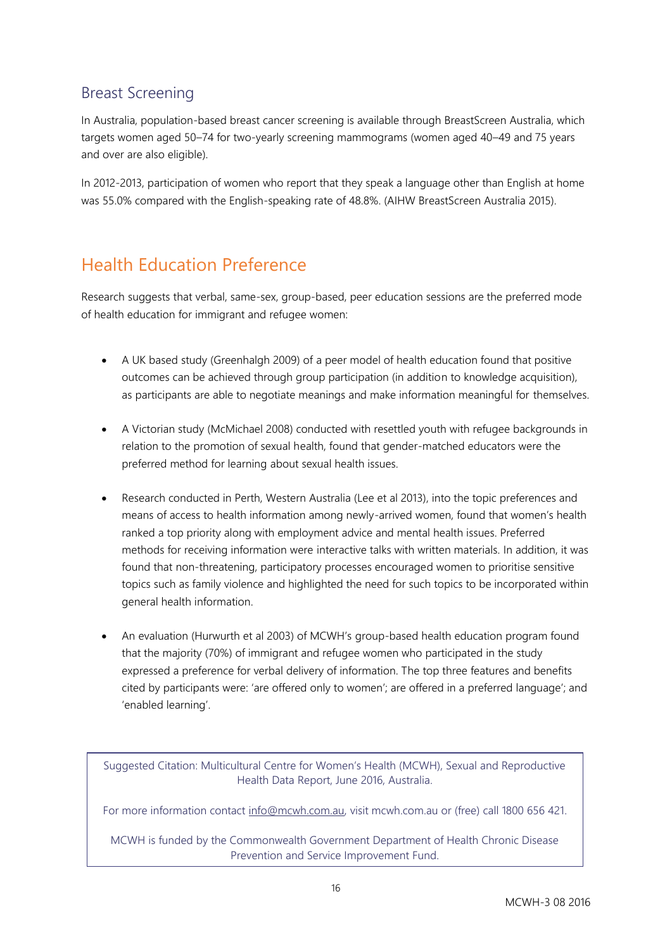### Breast Screening

In Australia, population-based breast cancer screening is available through BreastScreen Australia, which targets women aged 50–74 for two-yearly screening mammograms (women aged 40–49 and 75 years and over are also eligible).

In 2012-2013, participation of women who report that they speak a language other than English at home was 55.0% compared with the English-speaking rate of 48.8%. (AIHW BreastScreen Australia 2015).

# Health Education Preference

Research suggests that verbal, same-sex, group-based, peer education sessions are the preferred mode of health education for immigrant and refugee women:

- A UK based study (Greenhalgh 2009) of a peer model of health education found that positive outcomes can be achieved through group participation (in addition to knowledge acquisition), as participants are able to negotiate meanings and make information meaningful for themselves.
- A Victorian study (McMichael 2008) conducted with resettled youth with refugee backgrounds in relation to the promotion of sexual health, found that gender-matched educators were the preferred method for learning about sexual health issues.
- Research conducted in Perth, Western Australia (Lee et al 2013), into the topic preferences and means of access to health information among newly-arrived women, found that women's health ranked a top priority along with employment advice and mental health issues. Preferred methods for receiving information were interactive talks with written materials. In addition, it was found that non-threatening, participatory processes encouraged women to prioritise sensitive topics such as family violence and highlighted the need for such topics to be incorporated within general health information.
- An evaluation (Hurwurth et al 2003) of MCWH's group-based health education program found that the majority (70%) of immigrant and refugee women who participated in the study expressed a preference for verbal delivery of information. The top three features and benefits cited by participants were: 'are offered only to women'; are offered in a preferred language'; and 'enabled learning'.

Suggested Citation: Multicultural Centre for Women's Health (MCWH), Sexual and Reproductive Health Data Report, June 2016, Australia.

For more information contact [info@mcwh.com.au,](mailto:info@mcwh.com.au) visit mcwh.com.au or (free) call 1800 656 421.

MCWH is funded by the Commonwealth Government Department of Health Chronic Disease Prevention and Service Improvement Fund.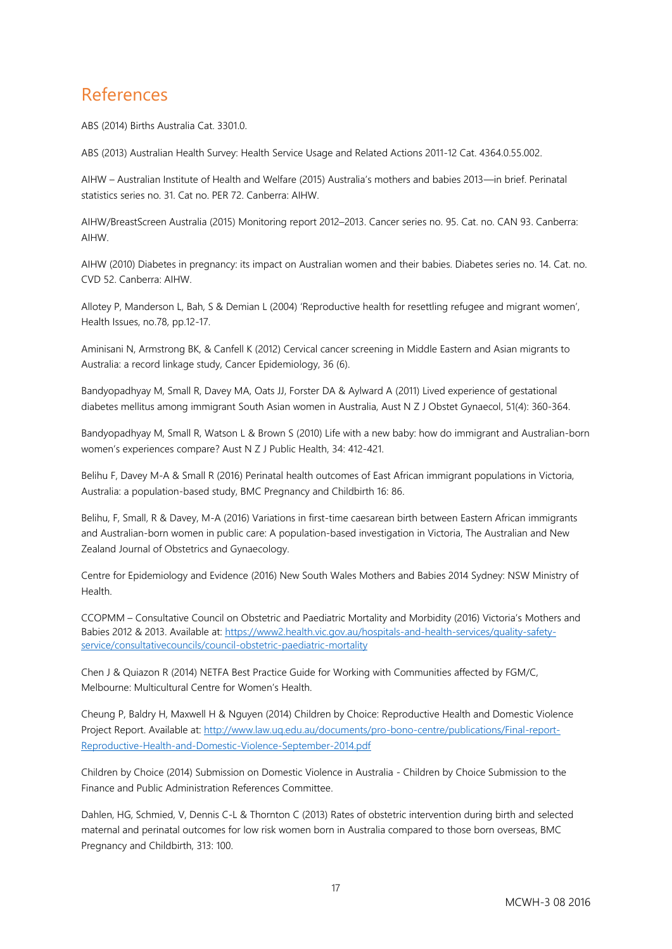### References

ABS (2014) Births Australia Cat. 3301.0.

ABS (2013) Australian Health Survey: Health Service Usage and Related Actions 2011-12 Cat. 4364.0.55.002.

AIHW – Australian Institute of Health and Welfare (2015) Australia's mothers and babies 2013—in brief. Perinatal statistics series no. 31. Cat no. PER 72. Canberra: AIHW.

AIHW/BreastScreen Australia (2015) Monitoring report 2012–2013. Cancer series no. 95. Cat. no. CAN 93. Canberra: AIHW.

AIHW (2010) Diabetes in pregnancy: its impact on Australian women and their babies. Diabetes series no. 14. Cat. no. CVD 52. Canberra: AIHW.

Allotey P, Manderson L, Bah, S & Demian L (2004) 'Reproductive health for resettling refugee and migrant women', Health Issues, no.78, pp.12-17.

Aminisani N, Armstrong BK, & Canfell K (2012) Cervical cancer screening in Middle Eastern and Asian migrants to Australia: a record linkage study, Cancer Epidemiology, 36 (6).

Bandyopadhyay M, Small R, Davey MA, Oats JJ, Forster DA & Aylward A (2011) Lived experience of gestational diabetes mellitus among immigrant South Asian women in Australia, Aust N Z J Obstet Gynaecol, 51(4): 360-364.

Bandyopadhyay M, Small R, Watson L & Brown S (2010) Life with a new baby: how do immigrant and Australian-born women's experiences compare? Aust N Z J Public Health, 34: 412-421.

Belihu F, Davey M-A & Small R (2016) Perinatal health outcomes of East African immigrant populations in Victoria, Australia: a population-based study, BMC Pregnancy and Childbirth 16: 86.

Belihu, F, Small, R & Davey, M-A (2016) Variations in first-time caesarean birth between Eastern African immigrants and Australian-born women in public care: A population-based investigation in Victoria, The Australian and New Zealand Journal of Obstetrics and Gynaecology.

Centre for Epidemiology and Evidence (2016) New South Wales Mothers and Babies 2014 Sydney: NSW Ministry of Health.

CCOPMM – Consultative Council on Obstetric and Paediatric Mortality and Morbidity (2016) Victoria's Mothers and Babies 2012 & 2013. Available at: [https://www2.health.vic.gov.au/hospitals-and-health-services/quality-safety](https://www2.health.vic.gov.au/hospitals-and-health-services/quality-safety-service/consultativecouncils/council-obstetric-paediatric-mortality)[service/consultativecouncils/council-obstetric-paediatric-mortality](https://www2.health.vic.gov.au/hospitals-and-health-services/quality-safety-service/consultativecouncils/council-obstetric-paediatric-mortality)

Chen J & Quiazon R (2014) NETFA Best Practice Guide for Working with Communities affected by FGM/C, Melbourne: Multicultural Centre for Women's Health.

Cheung P, Baldry H, Maxwell H & Nguyen (2014) Children by Choice: Reproductive Health and Domestic Violence Project Report. Available at[: http://www.law.uq.edu.au/documents/pro-bono-centre/publications/Final-report-](http://www.law.uq.edu.au/documents/pro-bono-centre/publications/Final-report-Reproductive-Health-and-Domestic-Violence-September-2014.pdf)[Reproductive-Health-and-Domestic-Violence-September-2014.pdf](http://www.law.uq.edu.au/documents/pro-bono-centre/publications/Final-report-Reproductive-Health-and-Domestic-Violence-September-2014.pdf)

Children by Choice (2014) Submission on Domestic Violence in Australia - Children by Choice Submission to the Finance and Public Administration References Committee.

Dahlen, HG, Schmied, V, Dennis C-L & Thornton C (2013) Rates of obstetric intervention during birth and selected maternal and perinatal outcomes for low risk women born in Australia compared to those born overseas, BMC Pregnancy and Childbirth, 313: 100.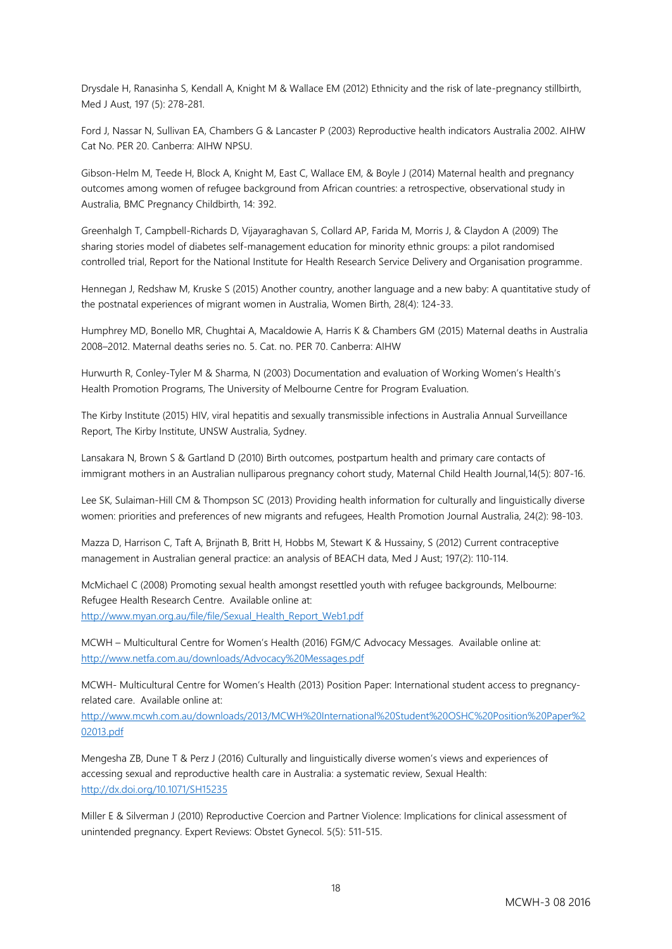Drysdale H, Ranasinha S, Kendall A, Knight M & Wallace EM (2012) Ethnicity and the risk of late-pregnancy stillbirth, Med J Aust, 197 (5): 278-281.

Ford J, Nassar N, Sullivan EA, Chambers G & Lancaster P (2003) Reproductive health indicators Australia 2002. AIHW Cat No. PER 20. Canberra: AIHW NPSU.

Gibson-Helm M, Teede H, Block A, Knight M, East C, Wallace EM, & Boyle J (2014) Maternal health and pregnancy outcomes among women of refugee background from African countries: a retrospective, observational study in Australia, BMC Pregnancy Childbirth, 14: 392.

Greenhalgh T, Campbell-Richards D, Vijayaraghavan S, Collard AP, Farida M, Morris J, & Claydon A (2009) The sharing stories model of diabetes self-management education for minority ethnic groups: a pilot randomised controlled trial, Report for the National Institute for Health Research Service Delivery and Organisation programme.

Hennegan J, Redshaw M, Kruske S (2015) Another country, another language and a new baby: A quantitative study of the postnatal experiences of migrant women in Australia, Women Birth, 28(4): 124-33.

Humphrey MD, Bonello MR, Chughtai A, Macaldowie A, Harris K & Chambers GM (2015) Maternal deaths in Australia 2008–2012. Maternal deaths series no. 5. Cat. no. PER 70. Canberra: AIHW

Hurwurth R, Conley-Tyler M & Sharma, N (2003) Documentation and evaluation of Working Women's Health's Health Promotion Programs, The University of Melbourne Centre for Program Evaluation.

The Kirby Institute (2015) HIV, viral hepatitis and sexually transmissible infections in Australia Annual Surveillance Report, The Kirby Institute, UNSW Australia, Sydney.

Lansakara N, Brown S & Gartland D (2010) Birth outcomes, postpartum health and primary care contacts of immigrant mothers in an Australian nulliparous pregnancy cohort study, Maternal Child Health Journal,14(5): 807-16.

Lee SK, Sulaiman-Hill CM & Thompson SC (2013) Providing health information for culturally and linguistically diverse women: priorities and preferences of new migrants and refugees, Health Promotion Journal Australia, 24(2): 98-103.

Mazza D, Harrison C, Taft A, Brijnath B, Britt H, Hobbs M, Stewart K & Hussainy, S (2012) Current contraceptive management in Australian general practice: an analysis of BEACH data, Med J Aust; 197(2): 110-114.

McMichael C (2008) Promoting sexual health amongst resettled youth with refugee backgrounds, Melbourne: Refugee Health Research Centre. Available online at: [http://www.myan.org.au/file/file/Sexual\\_Health\\_Report\\_Web1.pdf](http://www.myan.org.au/file/file/Sexual_Health_Report_Web1.pdf)

MCWH – Multicultural Centre for Women's Health (2016) FGM/C Advocacy Messages. Available online at: <http://www.netfa.com.au/downloads/Advocacy%20Messages.pdf>

MCWH- Multicultural Centre for Women's Health (2013) Position Paper: International student access to pregnancyrelated care. Available online at:

[http://www.mcwh.com.au/downloads/2013/MCWH%20International%20Student%20OSHC%20Position%20Paper%2](http://www.mcwh.com.au/downloads/2013/MCWH%20International%20Student%20OSHC%20Position%20Paper%202013.pdf) [02013.pdf](http://www.mcwh.com.au/downloads/2013/MCWH%20International%20Student%20OSHC%20Position%20Paper%202013.pdf)

Mengesha ZB, Dune T & Perz J (2016) Culturally and linguistically diverse women's views and experiences of accessing sexual and reproductive health care in Australia: a systematic review, Sexual Health: <http://dx.doi.org/10.1071/SH15235>

Miller E & Silverman J (2010) Reproductive Coercion and Partner Violence: Implications for clinical assessment of unintended pregnancy. Expert Reviews: Obstet Gynecol. 5(5): 511-515.